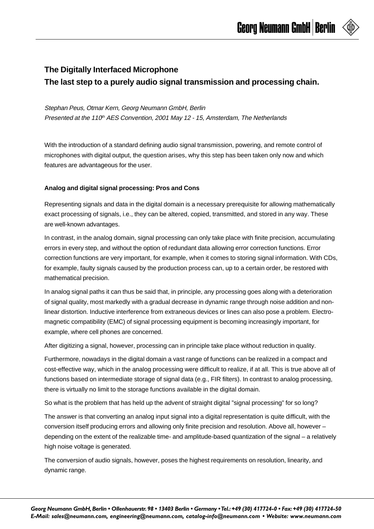

# **The Digitally Interfaced Microphone**

# **The last step to a purely audio signal transmission and processing chain.**

Stephan Peus, Otmar Kern, Georg Neumann GmbH, Berlin Presented at the 110<sup>th</sup> AES Convention, 2001 May 12 - 15, Amsterdam, The Netherlands

With the introduction of a standard defining audio signal transmission, powering, and remote control of microphones with digital output, the question arises, why this step has been taken only now and which features are advantageous for the user.

### **Analog and digital signal processing: Pros and Cons**

Representing signals and data in the digital domain is a necessary prerequisite for allowing mathematically exact processing of signals, i.e., they can be altered, copied, transmitted, and stored in any way. These are well-known advantages.

In contrast, in the analog domain, signal processing can only take place with finite precision, accumulating errors in every step, and without the option of redundant data allowing error correction functions. Error correction functions are very important, for example, when it comes to storing signal information. With CDs, for example, faulty signals caused by the production process can, up to a certain order, be restored with mathematical precision.

In analog signal paths it can thus be said that, in principle, any processing goes along with a deterioration of signal quality, most markedly with a gradual decrease in dynamic range through noise addition and nonlinear distortion. Inductive interference from extraneous devices or lines can also pose a problem. Electromagnetic compatibility (EMC) of signal processing equipment is becoming increasingly important, for example, where cell phones are concerned.

After digitizing a signal, however, processing can in principle take place without reduction in quality.

Furthermore, nowadays in the digital domain a vast range of functions can be realized in a compact and cost-effective way, which in the analog processing were difficult to realize, if at all. This is true above all of functions based on intermediate storage of signal data (e.g., FIR filters). In contrast to analog processing, there is virtually no limit to the storage functions available in the digital domain.

So what is the problem that has held up the advent of straight digital "signal processing" for so long?

The answer is that converting an analog input signal into a digital representation is quite difficult, with the conversion itself producing errors and allowing only finite precision and resolution. Above all, however – depending on the extent of the realizable time- and amplitude-based quantization of the signal – a relatively high noise voltage is generated.

The conversion of audio signals, however, poses the highest requirements on resolution, linearity, and dynamic range.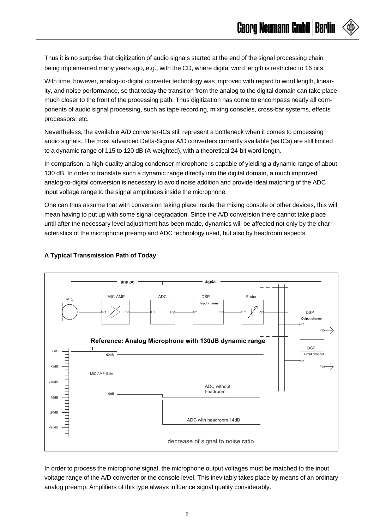**Georg Neumann GmbH | Berlin** 

Thus it is no surprise that digitization of audio signals started at the end of the signal processing chain being implemented many years ago, e.g., with the CD, where digital word length is restricted to 16 bits.

With time, however, analog-to-digital converter technology was improved with regard to word length, linearity, and noise performance, so that today the transition from the analog to the digital domain can take place much closer to the front of the processing path. Thus digitization has come to encompass nearly all components of audio signal processing, such as tape recording, mixing consoles, cross-bar systems, effects processors, etc.

Nevertheless, the available A/D converter-ICs still represent a bottleneck when it comes to processing audio signals. The most advanced Delta-Sigma A/D converters currently available (as ICs) are still limited to a dynamic range of 115 to 120 dB (A-weighted), with a theoretical 24-bit word length.

In comparison, a high-quality analog condenser microphone is capable of yielding a dynamic range of about 130 dB. In order to translate such a dynamic range directly into the digital domain, a much improved analog-to-digital conversion is necessary to avoid noise addition and provide ideal matching of the ADC input voltage range to the signal amplitudes inside the microphone.

One can thus assume that with conversion taking place inside the mixing console or other devices, this will mean having to put up with some signal degradation. Since the A/D conversion there cannot take place until after the necessary level adjustment has been made, dynamics will be affected not only by the characteristics of the microphone preamp and ADC technology used, but also by headroom aspects.



## **A Typical Transmission Path of Today**

In order to process the microphone signal, the microphone output voltages must be matched to the input voltage range of the A/D converter or the console level. This inevitably takes place by means of an ordinary analog preamp. Amplifiers of this type always influence signal quality considerably.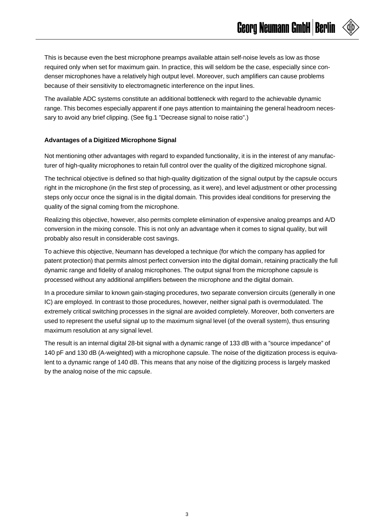This is because even the best microphone preamps available attain self-noise levels as low as those required only when set for maximum gain. In practice, this will seldom be the case, especially since condenser microphones have a relatively high output level. Moreover, such amplifiers can cause problems because of their sensitivity to electromagnetic interference on the input lines.

The available ADC systems constitute an additional bottleneck with regard to the achievable dynamic range. This becomes especially apparent if one pays attention to maintaining the general headroom necessary to avoid any brief clipping. (See fig.1 "Decrease signal to noise ratio".)

## **Advantages of a Digitized Microphone Signal**

Not mentioning other advantages with regard to expanded functionality, it is in the interest of any manufacturer of high-quality microphones to retain full control over the quality of the digitized microphone signal.

The technical objective is defined so that high-quality digitization of the signal output by the capsule occurs right in the microphone (in the first step of processing, as it were), and level adjustment or other processing steps only occur once the signal is in the digital domain. This provides ideal conditions for preserving the quality of the signal coming from the microphone.

Realizing this objective, however, also permits complete elimination of expensive analog preamps and A/D conversion in the mixing console. This is not only an advantage when it comes to signal quality, but will probably also result in considerable cost savings.

To achieve this objective, Neumann has developed a technique (for which the company has applied for patent protection) that permits almost perfect conversion into the digital domain, retaining practically the full dynamic range and fidelity of analog microphones. The output signal from the microphone capsule is processed without any additional amplifiers between the microphone and the digital domain.

In a procedure similar to known gain-staging procedures, two separate conversion circuits (generally in one IC) are employed. In contrast to those procedures, however, neither signal path is overmodulated. The extremely critical switching processes in the signal are avoided completely. Moreover, both converters are used to represent the useful signal up to the maximum signal level (of the overall system), thus ensuring maximum resolution at any signal level.

The result is an internal digital 28-bit signal with a dynamic range of 133 dB with a "source impedance" of 140 pF and 130 dB (A-weighted) with a microphone capsule. The noise of the digitization process is equivalent to a dynamic range of 140 dB. This means that any noise of the digitizing process is largely masked by the analog noise of the mic capsule.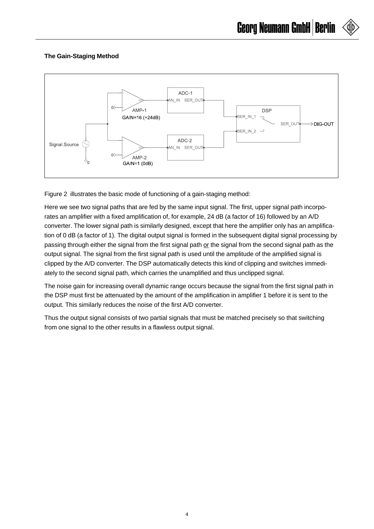# **The Gain-Staging Method**



Figure 2 illustrates the basic mode of functioning of a gain-staging method:

Here we see two signal paths that are fed by the same input signal. The first, upper signal path incorporates an amplifier with a fixed amplification of, for example, 24 dB (a factor of 16) followed by an A/D converter. The lower signal path is similarly designed, except that here the amplifier only has an amplification of 0 dB (a factor of 1). The digital output signal is formed in the subsequent digital signal processing by passing through either the signal from the first signal path or the signal from the second signal path as the output signal. The signal from the first signal path is used until the amplitude of the amplified signal is clipped by the A/D converter. The DSP automatically detects this kind of clipping and switches immediately to the second signal path, which carries the unamplified and thus unclipped signal.

The noise gain for increasing overall dynamic range occurs because the signal from the first signal path in the DSP must first be attenuated by the amount of the amplification in amplifier 1 before it is sent to the output. This similarly reduces the noise of the first A/D converter.

Thus the output signal consists of two partial signals that must be matched precisely so that switching from one signal to the other results in a flawless output signal.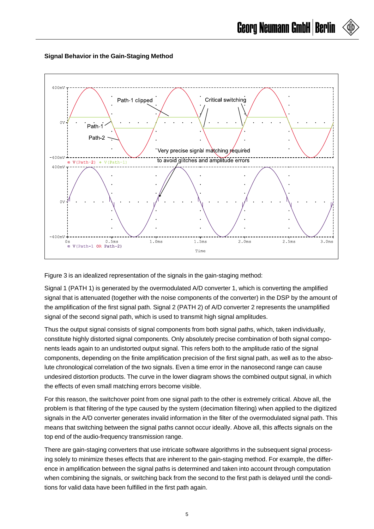## **Signal Behavior in the Gain-Staging Method**



Figure 3 is an idealized representation of the signals in the gain-staging method:

Signal 1 (PATH 1) is generated by the overmodulated A/D converter 1, which is converting the amplified signal that is attenuated (together with the noise components of the converter) in the DSP by the amount of the amplification of the first signal path. Signal 2 (PATH 2) of A/D converter 2 represents the unamplified signal of the second signal path, which is used to transmit high signal amplitudes.

Thus the output signal consists of signal components from both signal paths, which, taken individually, constitute highly distorted signal components. Only absolutely precise combination of both signal components leads again to an undistorted output signal. This refers both to the amplitude ratio of the signal components, depending on the finite amplification precision of the first signal path, as well as to the absolute chronological correlation of the two signals. Even a time error in the nanosecond range can cause undesired distortion products. The curve in the lower diagram shows the combined output signal, in which the effects of even small matching errors become visible.

For this reason, the switchover point from one signal path to the other is extremely critical. Above all, the problem is that filtering of the type caused by the system (decimation filtering) when applied to the digitized signals in the A/D converter generates invalid information in the filter of the overmodulated signal path. This means that switching between the signal paths cannot occur ideally. Above all, this affects signals on the top end of the audio-frequency transmission range.

There are gain-staging converters that use intricate software algorithms in the subsequent signal processing solely to minimize theses effects that are inherent to the gain-staging method. For example, the difference in amplification between the signal paths is determined and taken into account through computation when combining the signals, or switching back from the second to the first path is delayed until the conditions for valid data have been fulfilled in the first path again.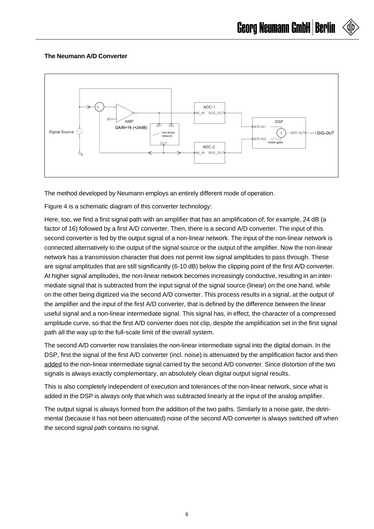## **The Neumann A/D Converter**



The method developed by Neumann employs an entirely different mode of operation.

Figure 4 is a schematic diagram of this converter technology:

Here, too, we find a first signal path with an amplifier that has an amplification of, for example, 24 dB (a factor of 16) followed by a first A/D converter. Then, there is a second A/D converter. The input of this second converter is fed by the output signal of a non-linear network. The input of the non-linear network is connected alternatively to the output of the signal source or the output of the amplifier. Now the non-linear network has a transmission character that does not permit low signal amplitudes to pass through. These are signal amplitudes that are still significantly (6-10 dB) below the clipping point of the first A/D converter. At higher signal amplitudes, the non-linear network becomes increasingly conductive, resulting in an intermediate signal that is subtracted from the input signal of the signal source (linear) on the one hand, while on the other being digitized via the second A/D converter. This process results in a signal, at the output of the amplifier and the input of the first A/D converter, that is defined by the difference between the linear useful signal and a non-linear intermediate signal. This signal has, in effect, the character of a compressed amplitude curve, so that the first A/D converter does not clip, despite the amplification set in the first signal path all the way up to the full-scale limit of the overall system.

The second A/D converter now translates the non-linear intermediate signal into the digital domain. In the DSP, first the signal of the first A/D converter (incl. noise) is attenuated by the amplification factor and then added to the non-linear intermediate signal carried by the second A/D converter. Since distortion of the two signals is always exactly complementary, an absolutely clean digital output signal results.

This is also completely independent of execution and tolerances of the non-linear network, since what is added in the DSP is always only that which was subtracted linearly at the input of the analog amplifier.

The output signal is always formed from the addition of the two paths. Similarly to a noise gate, the detrimental (because it has not been attenuated) noise of the second A/D converter is always switched off when the second signal path contains no signal.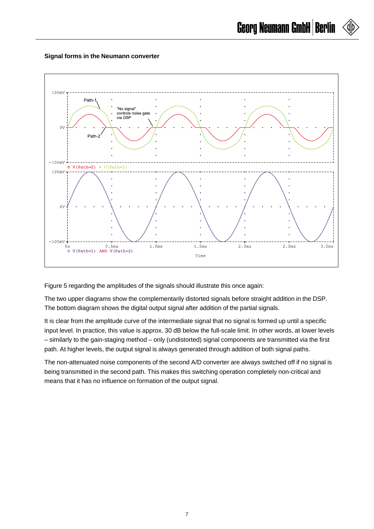### **Signal forms in the Neumann converter**



Figure 5 regarding the amplitudes of the signals should illustrate this once again:

The two upper diagrams show the complementarily distorted signals before straight addition in the DSP. The bottom diagram shows the digital output signal after addition of the partial signals.

It is clear from the amplitude curve of the intermediate signal that no signal is formed up until a specific input level. In practice, this value is approx. 30 dB below the full-scale limit. In other words, at lower levels – similarly to the gain-staging method – only (undistorted) signal components are transmitted via the first path. At higher levels, the output signal is always generated through addition of both signal paths.

The non-attenuated noise components of the second A/D converter are always switched off if no signal is being transmitted in the second path. This makes this switching operation completely non-critical and means that it has no influence on formation of the output signal.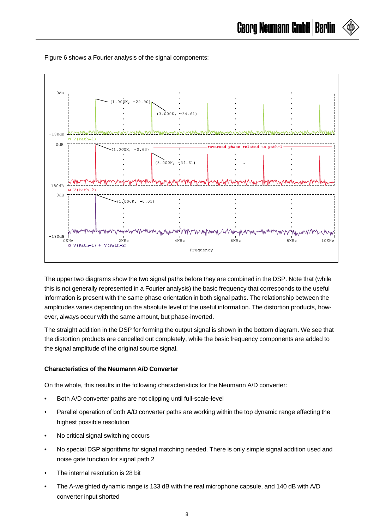Figure 6 shows a Fourier analysis of the signal components:



The upper two diagrams show the two signal paths before they are combined in the DSP. Note that (while this is not generally represented in a Fourier analysis) the basic frequency that corresponds to the useful information is present with the same phase orientation in both signal paths. The relationship between the amplitudes varies depending on the absolute level of the useful information. The distortion products, however, always occur with the same amount, but phase-inverted.

The straight addition in the DSP for forming the output signal is shown in the bottom diagram. We see that the distortion products are cancelled out completely, while the basic frequency components are added to the signal amplitude of the original source signal.

## **Characteristics of the Neumann A/D Converter**

On the whole, this results in the following characteristics for the Neumann A/D converter:

- Both A/D converter paths are not clipping until full-scale-level
- Parallel operation of both A/D converter paths are working within the top dynamic range effecting the highest possible resolution
- No critical signal switching occurs
- No special DSP algorithms for signal matching needed. There is only simple signal addition used and noise gate function for signal path 2
- The internal resolution is 28 bit
- The A-weighted dynamic range is 133 dB with the real microphone capsule, and 140 dB with A/D converter input shorted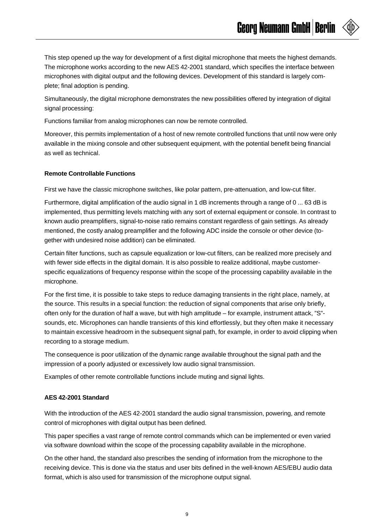This step opened up the way for development of a first digital microphone that meets the highest demands. The microphone works according to the new AES 42-2001 standard, which specifies the interface between microphones with digital output and the following devices. Development of this standard is largely complete; final adoption is pending.

Simultaneously, the digital microphone demonstrates the new possibilities offered by integration of digital signal processing:

Functions familiar from analog microphones can now be remote controlled.

Moreover, this permits implementation of a host of new remote controlled functions that until now were only available in the mixing console and other subsequent equipment, with the potential benefit being financial as well as technical.

### **Remote Controllable Functions**

First we have the classic microphone switches, like polar pattern, pre-attenuation, and low-cut filter.

Furthermore, digital amplification of the audio signal in 1 dB increments through a range of 0 ... 63 dB is implemented, thus permitting levels matching with any sort of external equipment or console. In contrast to known audio preamplifiers, signal-to-noise ratio remains constant regardless of gain settings. As already mentioned, the costly analog preamplifier and the following ADC inside the console or other device (together with undesired noise addition) can be eliminated.

Certain filter functions, such as capsule equalization or low-cut filters, can be realized more precisely and with fewer side effects in the digital domain. It is also possible to realize additional, maybe customerspecific equalizations of frequency response within the scope of the processing capability available in the microphone.

For the first time, it is possible to take steps to reduce damaging transients in the right place, namely, at the source. This results in a special function: the reduction of signal components that arise only briefly, often only for the duration of half a wave, but with high amplitude – for example, instrument attack, "S" sounds, etc. Microphones can handle transients of this kind effortlessly, but they often make it necessary to maintain excessive headroom in the subsequent signal path, for example, in order to avoid clipping when recording to a storage medium.

The consequence is poor utilization of the dynamic range available throughout the signal path and the impression of a poorly adjusted or excessively low audio signal transmission.

Examples of other remote controllable functions include muting and signal lights.

#### **AES 42-2001 Standard**

With the introduction of the AES 42-2001 standard the audio signal transmission, powering, and remote control of microphones with digital output has been defined.

This paper specifies a vast range of remote control commands which can be implemented or even varied via software download within the scope of the processing capability available in the microphone.

On the other hand, the standard also prescribes the sending of information from the microphone to the receiving device. This is done via the status and user bits defined in the well-known AES/EBU audio data format, which is also used for transmission of the microphone output signal.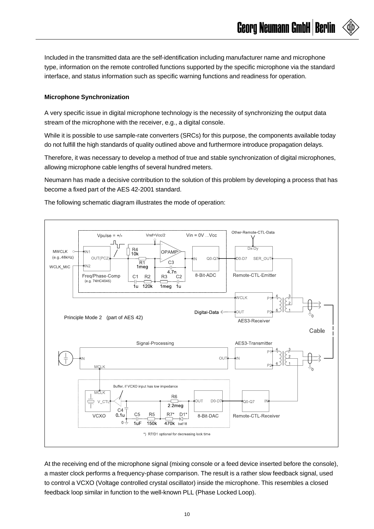Included in the transmitted data are the self-identification including manufacturer name and microphone type, information on the remote controlled functions supported by the specific microphone via the standard interface, and status information such as specific warning functions and readiness for operation.

**Georg Neumann GmbH | Berlin** 

#### **Microphone Synchronization**

A very specific issue in digital microphone technology is the necessity of synchronizing the output data stream of the microphone with the receiver, e.g., a digital console.

While it is possible to use sample-rate converters (SRCs) for this purpose, the components available today do not fulfill the high standards of quality outlined above and furthermore introduce propagation delays.

Therefore, it was necessary to develop a method of true and stable synchronization of digital microphones, allowing microphone cable lengths of several hundred meters.

Neumann has made a decisive contribution to the solution of this problem by developing a process that has become a fixed part of the AES 42-2001 standard.

Other-Remote-CTL-Data Vpulse =  $+/-$ Vref=Vcc/2  $V$ in =  $0V$  ... $V$ cc ┸┧┎  $Dx-Dy$  $R4$ MWCLK O  $\mathbb{N}^2$ **OPAMP** 10k  $(e.g., 48kHz)$ OUT(PC2 IN.  $00 - 07$  $DO-D7$ SER OUT  $\overline{R1}$ <br>1meg C<sub>3</sub>  $N<sub>2</sub>$ WCLK MIC  $47n$ 8-Bit-ADC Remote-CTL-Emitter Freq/Phase-Comp  $R<sub>2</sub>$ R<sub>3</sub>  $C<sub>2</sub>$  $C<sub>1</sub>$ (e.g. 74HC4046)  $120k$  $1$ meg Ϊù. ่ 1น **WCLK** Digital-Data  $\Leftarrow$ **JUT** Principle Mode 2 (part of AES 42)AES3-Receiver Cable Signal-Processing AES3-Transmitter **OUT** Buffer, if VCXO input has low impedance  $MCK$ R<sub>6</sub>  $D0-D7$ 00-07 T) V C  $||T$  $2\overline{2me}$  $C<sub>4</sub>$  $C<sub>5</sub>$  $R<sub>5</sub>$  $R7*$  $D1*$ VCXO  $0.1<sub>u</sub>$ 8-Bit-DAC Remote-CTL-Receiver  $0\rightarrow$  $150k$ 1üF 470k bat18 \*) R7/D1 optional for decreasing lock time

The following schematic diagram illustrates the mode of operation:

At the receiving end of the microphone signal (mixing console or a feed device inserted before the console), a master clock performs a frequency-phase comparison. The result is a rather slow feedback signal, used to control a VCXO (Voltage controlled crystal oscillator) inside the microphone. This resembles a closed feedback loop similar in function to the well-known PLL (Phase Locked Loop).